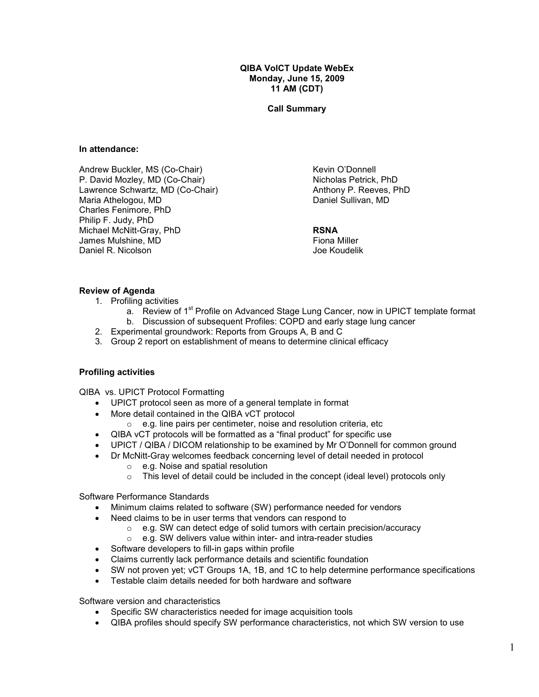QIBA VolCT Update WebEx Monday, June 15, 2009 11 AM (CDT)

Call Summary

#### In attendance:

Andrew Buckler, MS (Co-Chair) P. David Mozley, MD (Co-Chair) Lawrence Schwartz, MD (Co-Chair) Maria Athelogou, MD Charles Fenimore, PhD Philip F. Judy, PhD Michael McNitt-Gray, PhD James Mulshine, MD Daniel R. Nicolson

Kevin O'Donnell Nicholas Petrick, PhD Anthony P. Reeves, PhD Daniel Sullivan, MD

#### RSNA

Fiona Miller Joe Koudelik

## Review of Agenda

- 1. Profiling activities
	- a. Review of 1<sup>st</sup> Profile on Advanced Stage Lung Cancer, now in UPICT template format b. Discussion of subsequent Profiles: COPD and early stage lung cancer
- 2. Experimental groundwork: Reports from Groups A, B and C
- 3. Group 2 report on establishment of means to determine clinical efficacy

## Profiling activities

QIBA vs. UPICT Protocol Formatting

- UPICT protocol seen as more of a general template in format
- More detail contained in the QIBA vCT protocol
	- $\circ$  e.g. line pairs per centimeter, noise and resolution criteria, etc
- QIBA vCT protocols will be formatted as a "final product" for specific use
- UPICT / QIBA / DICOM relationship to be examined by Mr O'Donnell for common ground
- Dr McNitt-Gray welcomes feedback concerning level of detail needed in protocol
	- o e.g. Noise and spatial resolution
	- $\circ$  This level of detail could be included in the concept (ideal level) protocols only

Software Performance Standards

- Minimum claims related to software (SW) performance needed for vendors
- Need claims to be in user terms that vendors can respond to
	- o e.g. SW can detect edge of solid tumors with certain precision/accuracy
	- $\circ$  e.g. SW delivers value within inter- and intra-reader studies
- Software developers to fill-in gaps within profile
- Claims currently lack performance details and scientific foundation
- SW not proven yet; vCT Groups 1A, 1B, and 1C to help determine performance specifications
- Testable claim details needed for both hardware and software

Software version and characteristics

- Specific SW characteristics needed for image acquisition tools
- QIBA profiles should specify SW performance characteristics, not which SW version to use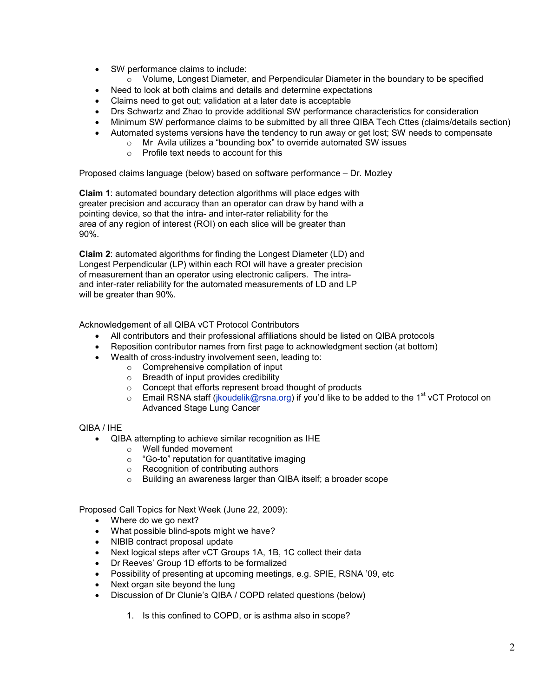- SW performance claims to include:
	- $\circ$  Volume, Longest Diameter, and Perpendicular Diameter in the boundary to be specified
- Need to look at both claims and details and determine expectations
- Claims need to get out; validation at a later date is acceptable
- Drs Schwartz and Zhao to provide additional SW performance characteristics for consideration
- Minimum SW performance claims to be submitted by all three QIBA Tech Cttes (claims/details section)
- Automated systems versions have the tendency to run away or get lost; SW needs to compensate
	- o Mr Avila utilizes a "bounding box" to override automated SW issues
		- o Profile text needs to account for this

Proposed claims language (below) based on software performance – Dr. Mozley

Claim 1: automated boundary detection algorithms will place edges with greater precision and accuracy than an operator can draw by hand with a pointing device, so that the intra- and inter-rater reliability for the area of any region of interest (ROI) on each slice will be greater than 90%.

Claim 2: automated algorithms for finding the Longest Diameter (LD) and Longest Perpendicular (LP) within each ROI will have a greater precision of measurement than an operator using electronic calipers. The intraand inter-rater reliability for the automated measurements of LD and LP will be greater than 90%.

Acknowledgement of all QIBA vCT Protocol Contributors

- All contributors and their professional affiliations should be listed on QIBA protocols
- Reposition contributor names from first page to acknowledgment section (at bottom)
	- Wealth of cross-industry involvement seen, leading to:
		- o Comprehensive compilation of input
		- o Breadth of input provides credibility
		- o Concept that efforts represent broad thought of products
		- $\circ$  Email RSNA staff (jkoudelik@rsna.org) if you'd like to be added to the 1<sup>st</sup> vCT Protocol on Advanced Stage Lung Cancer

QIBA / IHE

- QIBA attempting to achieve similar recognition as IHE
	- o Well funded movement
	- o "Go-to" reputation for quantitative imaging
	- o Recognition of contributing authors
	- o Building an awareness larger than QIBA itself; a broader scope

Proposed Call Topics for Next Week (June 22, 2009):

- Where do we go next?
- What possible blind-spots might we have?
- NIBIB contract proposal update
- Next logical steps after vCT Groups 1A, 1B, 1C collect their data
- Dr Reeves' Group 1D efforts to be formalized
- Possibility of presenting at upcoming meetings, e.g. SPIE, RSNA '09, etc
- Next organ site beyond the lung
- Discussion of Dr Clunie's QIBA / COPD related questions (below)
	- 1. Is this confined to COPD, or is asthma also in scope?